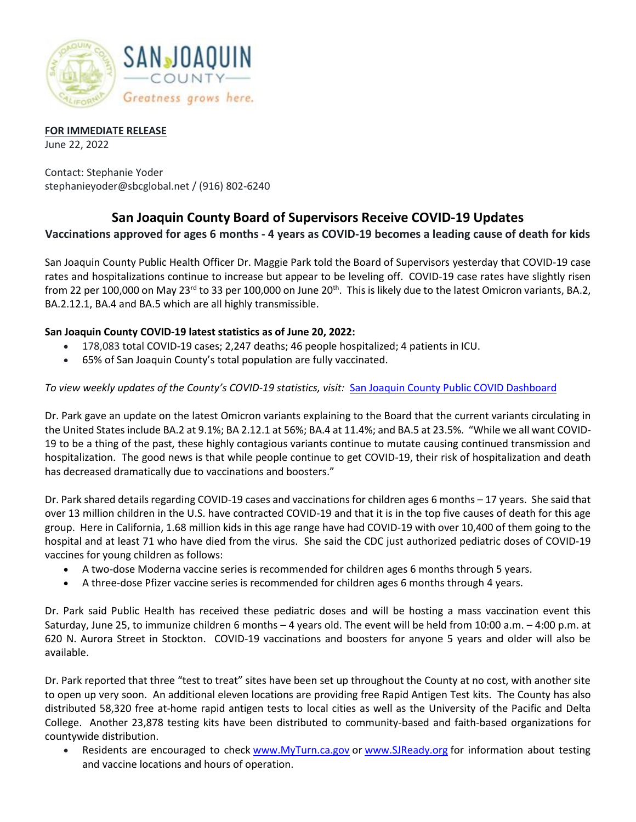

#### **FOR IMMEDIATE RELEASE**

June 22, 2022

Contact: Stephanie Yoder stephanieyoder@sbcglobal.net / (916) 802-6240

# **San Joaquin County Board of Supervisors Receive COVID-19 Updates**

## **Vaccinations approved for ages 6 months - 4 years as COVID-19 becomes a leading cause of death for kids**

San Joaquin County Public Health Officer Dr. Maggie Park told the Board of Supervisors yesterday that COVID-19 case rates and hospitalizations continue to increase but appear to be leveling off. COVID-19 case rates have slightly risen from 22 per 100,000 on May 23<sup>rd</sup> to 33 per 100,000 on June 20<sup>th</sup>. This is likely due to the latest Omicron variants, BA.2, BA.2.12.1, BA.4 and BA.5 which are all highly transmissible.

## **San Joaquin County COVID-19 latest statistics as of June 20, 2022:**

- 178,083 total COVID-19 cases; 2,247 deaths; 46 people hospitalized; 4 patients in ICU.
- 65% of San Joaquin County's total population are fully vaccinated.

## *To view weekly updates of the County's COVID-19 statistics, visit:* [San Joaquin County Public COVID Dashboard](https://public.tableau.com/app/profile/sjcphs.public/viz/SanJoaquinCountyPublicCOVIDDashboard/SanJoaquinCountyPublicHealthServicesCOVIDSummary)

Dr. Park gave an update on the latest Omicron variants explaining to the Board that the current variants circulating in the United States include BA.2 at 9.1%; BA 2.12.1 at 56%; BA.4 at 11.4%; and BA.5 at 23.5%. "While we all want COVID-19 to be a thing of the past, these highly contagious variants continue to mutate causing continued transmission and hospitalization. The good news is that while people continue to get COVID-19, their risk of hospitalization and death has decreased dramatically due to vaccinations and boosters."

Dr. Park shared details regarding COVID-19 cases and vaccinations for children ages 6 months – 17 years. She said that over 13 million children in the U.S. have contracted COVID-19 and that it is in the top five causes of death for this age group. Here in California, 1.68 million kids in this age range have had COVID-19 with over 10,400 of them going to the hospital and at least 71 who have died from the virus. She said the CDC just authorized pediatric doses of COVID-19 vaccines for young children as follows:

- A two-dose Moderna vaccine series is recommended for children ages 6 months through 5 years.
- A three-dose Pfizer vaccine series is recommended for children ages 6 months through 4 years.

Dr. Park said Public Health has received these pediatric doses and will be hosting a mass vaccination event this Saturday, June 25, to immunize children 6 months – 4 years old. The event will be held from 10:00 a.m. – 4:00 p.m. at 620 N. Aurora Street in Stockton. COVID-19 vaccinations and boosters for anyone 5 years and older will also be available.

Dr. Park reported that three "test to treat" sites have been set up throughout the County at no cost, with another site to open up very soon. An additional eleven locations are providing free Rapid Antigen Test kits. The County has also distributed 58,320 free at-home rapid antigen tests to local cities as well as the University of the Pacific and Delta College. Another 23,878 testing kits have been distributed to community-based and faith-based organizations for countywide distribution.

• Residents are encouraged to check [www.MyTurn.ca.gov](https://gcc02.safelinks.protection.outlook.com/?url=http%3A%2F%2Flink.mediaoutreach.meltwater.com%2Fls%2Fclick%3Fupn%3DVX68T1ZxTg8v-2FDGpdlQ9I9BMHALErJGbxg2eTXCBxahJ7SH-2FNLOu76-2FmGZpzc0rAq7gTZ120BCn1mObBwLdK86rdJuu9Vaz2IJUJizRxyrWlRDimNzsuNPlBnvD-2BsFWTJaU0HF0Qm3Yl7gjnl7mkEWo5e1RXOMwpa3aK-2FmS2QUMBpHfBSpxTNQHOv82dEoEJQ4CvgOUbJ7PoAYCmI6AHuB3yjnuYy9-2FWt00qiU9rJpqJpquWMmEYf4yJBohQjPeNChRISCKkH9yK4T2dJyTE0A4HU1ULEPNyKeGQaLomzh46h34NS0-2F9tBesKvUSD5yEoTiTn-2FxMPBpq1zswIQNQ6hmEc4ZtMEqGHNue2s1dJe80DgJywfpARibmftD5Pr3-2FOWEl-2BQlEUo1lf9ru3MgpnXH54cpkLgGMD0YSZouFZDF5bly6cR5KecektuF1ffeHjX2TUFzYgH6ClZVvwtfVzmFj489uNL-2FN6WrznHtkRsCyHOXPdIv1TKwUjIYbZ3PqkUgqyRGZKnedq0wPIXmhz9cqS-2Fx26s2hgp2uXM5Z1O4CrALxBUcFObXEaukz0HAbNvExG3AHc6UGKPWepFKwuKEtJmj848XWRbASM4upCkChAB5gFX9bEz6FaZBmLmSTSJfSYei0XQgr83YiWN1WfIOF6z04c0enfJUzTDb0kWPqZZDUoRniNB4MXZnwX0tTeTrEOyrJU9oPMoBi4NXAqhcSQF5d8FhYifQTti2VnC8kTBL5-2Fgj7OT3ThDhPA-2F83PicRazBbb4W17g0wIEGI4q-2BQKKTj-2Fe7Co2Q4kejcW5b4UkLcPzcOZjnZgqKd4kjaKLCKSS-2B6-2B8d3xvS5lczi6C3JCZ2zxmP4eMf7oSU2lxb5tkqtQPGtAdeSAJD5jzhZLVwGwmcpHOxeqARxDesn38LAaLSq8XY3iflfiuTfAvt6FkbwZIgry6pUHJQXYJ-2FUUFidH-2BvRary24HUVVwJPoKyt6jli4sxZqIMG7ehD4AtYCyrd3se5DbNkBA3262vxqClIUNfo6Ba3IOaYHhxunVulSFp2che-2FmN4MXuqHJ7tcE4zN24VT5WZbYBQNCln46lI7t-2F0e8DZf9EkW4CxK-2BvAvdhz7BZeM9U-2FtBnNRnu8b4uXMYh2Ysdoo43ZKyEjeiIA156w4IW-2FwYsBpiuNlIxM5K31vitAxjnpMXfghdJVSu-2BjvXMhOU5yMpml0hlPuBu4Bqzn5ymLRTwhHbVIH9Q-3D-3Dy759_gP-2FqtFjHYIjYXuYTUpewNIbHY2LAOPNGkwa-2BpPAiLghPnmBqFlHVnAH-2FpxZdx6OVlMfxV8MG3t5E7qIp-2F-2FZD1Rh4JbsoIDNCaprZuHkEEjt4OXtxamC4VS2-2FyYiIygeVtvkiH2BfjqTyW-2Fyzy-2Fwrbrutkb7EacyL-2BJo0YVkZPQX9rFkdNDG-2FdGOd66B01yUYUOljaxvRHrd5WEnip9-2FsRsmdOiOziDBvBSmakA2jsEQW7hJ44-2BNw3HnE9BW5XVEoiZs4ezfUH2le-2B1Z6m5awUnUKEkG76rmmPxJbkKyUhtZaTdsoVJ0SvkYTBms9O7vIzrJmgAjjNi14PQJZCVoo9EAd60Z6W0R4j5HeFzXqqOAmCTSt1MpD0TUEwB08guQJ&data=05%7C01%7Cjvoorhis%40sjgov.org%7C29135adc8410423aa31908da230109a2%7C3cff5075176a400d860a54960a7c7e51%7C0%7C0%7C637860784629146430%7CUnknown%7CTWFpbGZsb3d8eyJWIjoiMC4wLjAwMDAiLCJQIjoiV2luMzIiLCJBTiI6Ik1haWwiLCJXVCI6Mn0%3D%7C3000%7C%7C%7C&sdata=kah5G) or [www.SJReady.org](https://gcc02.safelinks.protection.outlook.com/?url=http%3A%2F%2Flink.mediaoutreach.meltwater.com%2Fls%2Fclick%3Fupn%3DNZE-2Bls2HpJwltBg8903Uv5dimo5vCyrn0bmSCPN22Gs-3DVMVU_gP-2FqtFjHYIjYXuYTUpewNIbHY2LAOPNGkwa-2BpPAiLghPnmBqFlHVnAH-2FpxZdx6OVlMfxV8MG3t5E7qIp-2F-2FZD1Rh4JbsoIDNCaprZuHkEEjt4OXtxamC4VS2-2FyYiIygeVtvkiH2BfjqTyW-2Fyzy-2Fwrbrutkb7EacyL-2BJo0YVkZPQX9rFkdNDG-2FdGOd66B01yUYUOljaxvRHrd5WEnip9-2FsRi-2FF1auArSK4SfgiKK0sVIvoTBF5ij64pB1Z-2F35-2FpSLogHp7cwugByOWi7M9-2BEhzUponCnFeNg2BpcKhveMIShg-2FxLNrisoId4-2FGxdTPabBxIvT3dHOARMnewGyDdA2EfXx75o6tW8Jme4UruKAAR39YznMWsoJu4uC9oiESjJDY&data=05%7C01%7Cjvoorhis%40sjgov.org%7C29135adc8410423aa31908da230109a2%7C3cff5075176a400d860a54960a7c7e51%7C0%7C0%7C637860784629146430%7CUnknown%7CTWFpbGZsb3d8eyJWIjoiMC4wLjAwMDAiLCJQIjoiV2luMzIiLCJBTiI6Ik1haWwiLCJXVCI6Mn0%3D%7C3000%7C%7C%7C&sdata=sZ0LBSIWDDbsB6edMVqPNR8q%2BPv3NltR3pJWfuYPY6c%3D&reserved=0) for information about testing and vaccine locations and hours of operation.